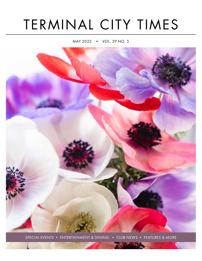# TERMINAL CITY TIMES

MAY 2022 • VOL. 29 NO. 5



SPECIAL EVENTS • ENTERTAINMENT & DINING • CLUB NEWS • FEATURES & MORE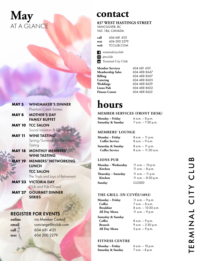# **May** AT A GLANCE

# **contact**

### **837 WEST HASTINGS STREET** VANCOUVER, BC

V6C 1B6, CANADA

| call | 604 681 4121 |
|------|--------------|
| text | 604 200 2279 |
| web  | TCCLUB.COM   |

*d* terminalcityclub **a** @tcclub **The Terminal City Club** 

| <b>Member Services</b>  | 604 681 4121 |
|-------------------------|--------------|
| <b>Membership Sales</b> | 604 488 8647 |
| <b>Billing</b>          | 604 488 8607 |
| Catering                | 604 488 8605 |
| Weddings                | 604 488 8629 |
| <b>Lions Pub</b>        | 604 488 8602 |
| <b>Fitness Centre</b>   | 604 488 8622 |

# **hours**

## **MEMBER SERVICES (FRONT DESK)**

| Monday – Friday   | 6 a.m. – 8 p.m.    |
|-------------------|--------------------|
| Saturday & Sunday | 7 a.m. - 7:30 p.m. |

# **MEMBERS' LOUNGE**

| Monday – Friday       | $8$ a.m. $-$ 11 p.m.   |
|-----------------------|------------------------|
| <b>Coffee Service</b> | $8a.m. - 9a.m.$        |
| Saturday & Sunday     | $8$ a.m. $-$ 11 p.m.   |
| <b>Coffee Service</b> | $8$ a.m. $-11:30$ a.m. |

# **LIONS PUB**

| Monday - Wednesday  | $11$ a.m. $-10$ p.m.   |
|---------------------|------------------------|
| Kitchen             | $11$ a.m. $-8$ p.m.    |
| Thursday – Saturday | $11$ a.m. $-11$ p.m.   |
| Kitchen             | $11$ a.m. $-8:30$ p.m. |
| Sunday              | <b>CLOSED</b>          |

## **THE GRILL (IN CUVÉE/1892)**

| Monday - Friday                  | 11 a.m. – 9 p.m.       |  |  |
|----------------------------------|------------------------|--|--|
| Coffee                           | $7$ a.m. $-$ 8 a.m.    |  |  |
| Breakfast                        | $8$ a.m. $-10:30$ a.m. |  |  |
| All Day Menu<br>11 a.m. – 9 p.m. |                        |  |  |
| Saturday & Sunday                |                        |  |  |
| Coffee                           | 8 a.m. – 9 p.m.        |  |  |
| <b>Brunch</b>                    | 9 a.m. - 2:30 p.m.     |  |  |
| All Day Menu                     | $3 p.m. - 9 p.m.$      |  |  |

# **FITNESS CENTRE**

| Monday – Friday   | 6 a.m. $-10$ p.m. |
|-------------------|-------------------|
| Saturday & Sunday | 7 a.m. – 8 p.m.   |

ERMINAL CITY CLUB

## **MAY 5** WINEMAKER'S DINNER Phantom Creek Estates **MAY 8** MOTHER'S DAY FAMILY BUFFET

**MAY 10** TCC SALON Social Isolation & Community

- **MAY 11** WINE TASTING Spring/Summer By-The-Glass **Tasting**
- **MAY 18** MONTHLY MEMBERS' WINE TASTING
- **MAY 19** MEMBERS' NETWORKING LUNCH

TCC SALON The Trials and Joys of Retirement

**MAY 23** VICTORIA DAY Club and Pub Closed

**MAY 27** GOURMET DINNER **SERIES** 

# REGISTER FOR EVENTS

**online** via Member Central **email** concierge@tcclub.com **call** 604 681 4121 **text** 604 200 2279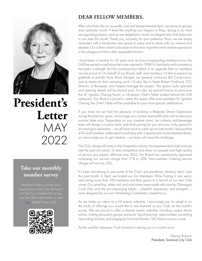

# **President's Letter** MAY 2022

# **Take our monthly member survey**

experience at the Club the best it can be! To complete the survey, here (digital copy only)



# **DEAR FELLOW MEMBERS,**

After what feels like an unusually cold and temperamental April, we arrive at spring's most optimistic month. It feels like anything can happen in May. Spring is our most reinvigorating season, and we are delighted to unveil our elegant new Grill restaurant to you later this month. Thank you, sincerely, for your patience. Now, we are amply rewarded with a handsome new space to enjoy and to share with our nearest and dearest. Our culinary team is also keen to find new inspiration and creative expression in the playground that is their expanded kitchen!

I have been a member for 30 years and, as many longstanding members know, the Grill has served us well since the tower opened in 1998. It's familiarity and consistency has been a strength, but this contemporary refresh is an upgrade that our members can be proud of. On behalf of our Board, staff, and members, I'd like to express my gratitude to Jennifer Kurtz (Kurtz Design), our general contractor BLT Construction, and its teams for their amazing work. I'd also like to thank Robert Pankhurst, TCC Director of Banquets, who helped manage the project. The space looks splendid and opening details will be shared soon. It is also my special honour to announce the Dr. Ignatius Cheung Room, a 14-person Chef's Table tucked behind the Grill restaurant. Our Board is proud to name this space after past president Dr. Ignatius Cheung; the Chef's Table will be available for your most special celebrations.

If you have not yet had the pleasure of booking a Bespoke Dinner Experience during the past two years, I encourage you contact reserve@tcclub.com to save your summer date soon. Depending on your creative vision, our culinary and beverage team will design a custom menu and drink pairing for you and your lucky guests for an evening to remember – we all have much to catch up on! Last month, I learned that a film-buff member celebrated his birthday with a spectacular movie-themed dinner, so I encourage you to get creative – our team will enjoy the challenge.

The Club, along with many in the Hospitality industry, has experienced a high turnover rate the past two years. To stay competitive and retain our people and high-quality of service you expect, effective June 2022, the Board has unanimously approved increasing our service charge from 17% to 20%. Non-member Catering service charge will now be 22%.

It's been heartening to see some of the Club's pre-pandemic vibrancy return over the past month. In April, we hosted our first Members' Wine Tasting in two years, welcoming more than 100 members and their guests to a launch of our new Club wines. Our sparkling, white, red, and rosé wines were made with care by Okanagan Crush Pad, and the accompanying labels – cheerful, expressive, and energetic – were designed by our own Marketing Coordinator, Josephine Ly.

As we make our return to a full events calendar, I encourage you to weigh in on the kinds of offerings you would like to see featured at your Club via this month's survey. We are proud to offer a diverse events calendar including unique dinner salons, riveting discussion groups, exclusive "liquid learning" opportunities, rewarding networking lunches, and engaging Gourmet Dinners. Still, there's more to come.

As the weather improves, I look forward to seeing you on a patio soon.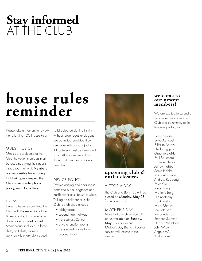# **Stay informed** AT THE CLUB

# **house rules reminder**

Please take a moment to review the following TCC House Rules:

# GUEST POLICY

Guests are welcome at the Club; however, members must be accompanying their guests throughout their visit. Members are responsible for ensuring that their guests respect the Club's dress code, phone policy, and House Rules.

# DRESS CODE

Unless otherwise specified, the Club, with the exception of the Fitness Centre, has a minimum dress code of smart casual. Smart casual includes collared shirts, golf shirts, blouses, knee-length shorts, khakis, and

solid-coloured denim. T-shirts without large logos or slogans are permitted provided they are worn with a sports jacket. All footwear must be clean and smart. All hats, runners, flipflops, and torn denim are not permitted.

## DEVICE POLICY

Text messaging and emailing is permitted but all ringtones and notifications must be set to silent. Talking on cellphones in the Club is prohibited except:

- lobby areas
- second floor hallway
- the Business Centre
- private function rooms
- •designated phone booth (second floor)



# **upcoming club** *&*  **outlet closures**

# VICTORIA DAY

The Club and Lions Pub will be closed on Monday, May 23 for Victoria Day.

### MOTHER'S DAY

Note that brunch service will be unavailable on Sunday, May 8 for our annual Mother's Day Brunch. Regular service will resume in the evening.

### **welcome to our newest members!**

We are excited to extend a very warm welcome to our Club and community to the following individuals:

Serj Abnoosi, Sylva Abnoosi F. Phillip Abrary Sheila Biggers Graeme Blaikie Paul Bouchard Daniele Chiodini Jeffrey Hobbs Sonia Hobbs Michael Jarvela Andrew Koppang Peter Kuo James Long Marlene Long Erin Mathany Frank Melo Mary Murray Lea Peterson Ian Sanderson Stephen Swatton Stephen Winstone John Wray Angela Wu Andreas Yuan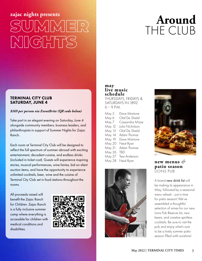# **zajac nights presents**





### TERMINAL CITY CLUB SATURDAY, JUNE 4

### *\$169 per person via EventBrite (QR code below)*

Take part in an elegant evening on Saturday, June 4 alongside community members, business leaders, and philanthropists in support of Summer Nights for Zajac Ranch.

Each room at Terminal City Club will be designed to reflect the full spectrum of summer abroad with exciting entertainment, decadent cuisine, and endless drinks (included in ticket cost). Guests will experience inspiring stories, musical performances, wine fairies, bid on silent auction items, and have the opportunity to experience unlimited cocktails, beer, wine and the cuisine of Terminal City Club set in food stations throughout the rooms.

All proceeds raised will benefit the Zajac Ranch for Children. Zajac Ranch is a fully inclusive summer camp where everything is accessible for children with medical conditions and disabilities.



## **may live music schedule**

THURSDAYS, FRIDAYS & SATURDAYS IN 1892  $6 - 9$  P.M.

| May 5  | Dave Martone    |
|--------|-----------------|
| May 6  | Olaf De Shield  |
| May 7  | Cassandra Maze  |
| May 12 | Julia Nicholson |
| May 13 | Olaf De Shield  |
| May 14 | Adam Thomas     |
| May 19 | Dave Martone    |
| May 20 | Neal Ryan       |
| May 21 | Adam Thomas     |
| May 26 | <b>TRD</b>      |
| May 27 | Tess Anderson   |
| May 28 | Neal Ryan       |





# new menus  $\mathscr{O}$ **patio season** LIONS PUB

A brand new drink list will be making its appearance in May, followed by a seasonal menu refresh - just in time for patio season! We've assembled a thoughtful selection of wines for our new Lions Pub Reserve list, new beers, and creative spiritless cocktails. Be sure to visit the pub and enjoy what's sure to be a lively summer patio season filled witih sunshine!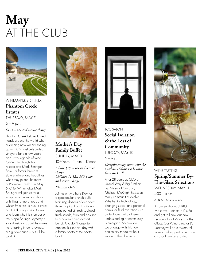# **May** AT THE CLUB



WINEMAKER'S DINNER **Phantom Creek Estates** THURSDAY, MAY 5  $6 - 9$  p.m. *\$175 + tax and service charge*

Phantom Creek Estates turned heads around the world when a stunning new winery sprung up on BC's most celebrated vineyard land a few years ago. Two legends of wine, Olivier Humbrecht from Alsace and Mark Beringer from California, brought stature, allure, and headlines when they joined the team at Phantom Creek. On May 5, Chief Winemaker Mark Beringer will join us for a sumptuous dinner and share a thrilling range of reds and whites from this unique, historic South Okanagan site. Come and learn why this member of the Napa Beringer dynasty is so enthusiastic about the wines he is making in our province. a big ticket price – but it'll be worth it.



# **Mother's Day Family Buffet** SUNDAY, MAY 8

10:30 a.m. | 11 a.m. | 12 noon

*Adults: \$95 + tax and service charge Children (4-12): \$40 + tax and service charge*

#### *\*Waitlist Only*

Join us on Mother's Day for a spectacular brunch buffet featuring dozens of decadent items ranging from traditional eggs benedict, fresh seafood, fresh salads, fruits and pastries to a never-ending dessert buffet. And don't forget to capture this special day with a family photo at the photo booth!



# TCC SALON **Social Isolation**  *&* **the Loss of Community** TUESDAY, MAY 10

 $6 - 9$  p.m.

### *Complimentary event with the purchase of dinner à la carte from the Grill.*

After 28 years as CEO of United Way & Big Brothers Big Sisters of Canada, Michael McKnight has seen many communities evolve. Whether it's technology, changing social and personal norms, or fluid migration - it's undeniable that a different understanding of community is emerging. So how do we engage with this new community model without leaving others behind?



# WINE TASTING **Spring/Summer By-The-Glass Selections**

WEDNESDAY, MAY 11 4:30 – 6 p.m.

#### *\$20 per person + tax*

It's our semi-annual BTG Makeover! Join us in Cuvée and get to know our new seasonal list of Wines By The Glass. Our Wine Director DJ Kearney will pour tasters, tell stories and suggest pairings in a casual, un-fussy tasting.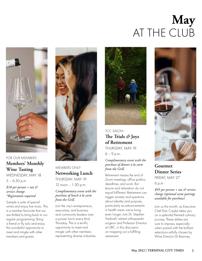# **May** AT THE CLUB



FOR OUR MEMBERS **Members' Monthly Wine Tasting**  WEDNESDAY, MAY 18 5 – 6:30 p.m

*\$10 per person + tax & service change \*Registration required*

Sample a suite of special wines and enjoy live music. This is a member favourite that we are thrilled to bring back to our regular programming. Bring a friend or fly solo and enjoy this wonderful opportunity to meet and mingle with other members and guests.



MEMBERS ONLY **Networking Lunch** THURSDAY, MAY 19 12 noon – 1:30 p.m.

### *Complimentary event with the purchase of lunch à la carte from the Grill.*

Join the city's entrepreneurs, executives, and business and community leaders over a power lunch every third Thursday. This is a terrific opportunity to meet and mingle with other members representing diverse industries.



TCC SALON **The Trials** *&* **Joys of Retirement** THURSDAY, MAY 19 6 – 9 p.m.

*Complimentary event with the purchase of dinner à la carte from the Grill.*

Retirement means the end of Zoom meetings, office politics, deadlines, and work. But leisure and relaxation do not equal fulfilment. Retirement can trigger anxiety and questions about identity and purpose, particularly as advancements in health mean we're living even longer. Join Dr. Stephen Tredwell, retired orthopaedic surgeon and Professor Emeritus at UBC, in this discussion on mapping out a fulfilling retirement.



**Gourmet Dinner Series** FRIDAY, MAY 27

6 p.m

*\$95 per person + tax & service charge (optional wine pairings available for purchase)*

Join us this month, as Executive Chef Dan Creyke takes you on a splendid themed culinary journey. These dishes are sure to impress, especially when paired with the brilliant selections artfully chosen by Wine Director DJ Kearney.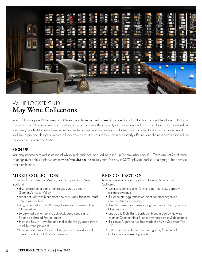

# WINE LOCKER CLUB **May Wine Collections**

Your Club wine pros DJ Kearney and Owen Stuart have curated an exciting collection of bottles from around the globe so that you are never short of an enticing pour for all occasions. Each set offers diversity and value, and will always include an outside-the-box 'discovery' bottle. Naturally these wines are neither mainstream nor widely available, adding cachet to your locker trove. You'll look like a pro and delight all who are lucky enough to sit at your table! This is a quarterly offering, and the next compilation will be available in September 2022.

# **SIGN UP**

You may choose a mixed selection of white/pink and reds, or a red-only line-up (or how about both?!). There are just 24 of these offerings available, so please email wine@tcclub.com to secure yours. The cost is \$275 (plus tax and service charge) for each sixbottle collection.

# **MIXED COLLECTION**

Six wines from Germany, Austria, France, Spain and New Zealand

- dry, layered pinot blanc from steep, slatey slopes in Germany's Mosel Valley
- •super natural white blend from one of Austria's fanatical, mad genius winemakers
- •silky, mineral-drenched Provençal Rosé from a revered Cru Classé estate
- •swanky red blend from the acknowledged superstar of Spain's celebrated Priorat region
- •Hawke's Bay in New Zealand makes shockingly good syrah, and this wine proves it!
- •lush fruit and crushed rocks collide in a swashbuckling red blend from the foothills of Mt. Ventoux

# **RED COLLECTION**

Features six wines from Argentina, France, Austria and California

- •summer is coming and it's time to get into juicy, peppery, chillable zweigelt
- this concrete-egg fermented pinot noir from Argentina channels Burgundy in spirit
- •think Sancerre only makes sauvignon blanc? Not so, there is killer pinot also!
- aristocratic Right Bank Bordeaux blend made by the wine team at Château Haut Brion is both aristocratic & delectable
- •this suave Argentine Malbec made the *Wine Spectator* Top 100
- a lithe, micro-production Sonoma gamay from one of California's most exciting estates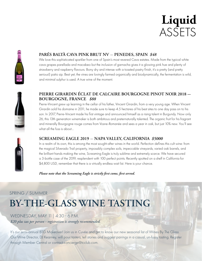# **Liquid** ASSETS



# **PARÉS BALTÀ CAVA PINK BRUT NV** — **PENEDES, SPAIN** *\$48*

We love this sophisticated sparkler from one of Spain's most revered Cava estates. Made from the typical white cava grapes parellada and macabeo but the inclusion of garnacha gives it a glowing pink hue and plenty of strawberry and raspberry flavours. Bony dry and intense with a toasted pastry finish, it's a pretty (and pretty serious!) patio sip. Best yet, the vines are lovingly farmed organically and biodynamically, the fermentation is wild, and minimal sulphur is used. A true wine of the moment.



# **PIERRE GIRARDIN ÉCLAT DE CALCAIRE BOURGOGNE PINOT NOIR 2018 - BOURGOGNE, FRANCE** *\$88*

Pierre-Vincent grew up learning in the cellar of his father, Vincent Girardin, from a very young age. When Vincent Girardin sold his domaine in 2011, he made sure to keep 4.5 hectares of his best sites to one day pass on to his son. In 2017, Pierre-Vincent made his first vintage and announced himself as a rising talent in Burgundy. Now only 26, this 13th generation winemaker is both ambitious and preternaturally talented. The organic fruit for his fragrant and minerally Bourgogne rouge comes from Vosne-Romanée and sees a year in oak, but just 10% new. You'll see what all the fuss is about…



# **SCREAMING EAGLE 2019** — **NAPA VALLEY, CALIFORNIA** *\$5000*

In a realm of its own, this is among the most sought-after wines in the world. Perfection defines this cult wine: from the magical Silverado Trail property, impossibly complex soils, impeccable vineyards, varied oak barrels, and the brilliant hands making the wine, Screaming Eagle is truly sublime and extremely scarce. We have secured a 3-bottle case of the 2019, resplendent with 100 perfect points. Recently spotted on a shelf in California for \$4,800 USD, remember that there is a virtually endless wait list. Here is your chance.

*Please note that the Screaming Eagle is strictly first come, first served.* 

# SPRING / SUMMER **BY-THE-GLASS WINE TASTING**

WEDNESDAY, MAY 11| 4:30 - 6 P.M. *\$20 plus tax per person - registration is strongly recommended.* 

It's our semi-annual BTG Makeover! Join us in Cuvée and get to know our new seasonal list of Wines By The Glass. Our Wine Director, DJ Kearney, will pour tasters, tell stories and suggest pairings in a casual, un-fussy tasting. Register through Member Central or contact concierge@tcclub.com.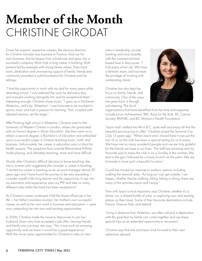# **Member of the Month** CHRISTINE GIRODAT

Given her parents' respective careers, the obvious direction for Christine Girodat was business or finance. Dad ran his own business, that he began from a briefcase and grew into a successful company. Mom had a long career in banking. Both parents led by example with strong family values. Their hard work, dedication and unwavering support of family, friends and community provided a solid foundation for Christine and her siblings.

"I had the opportunity to work with my dad for many years while attending school. I truly admired the work he did every day and enjoyed working alongside him and his exceptional team." Interesting enough, Christine chose music. "I grew up in Kitchener-Waterloo, well truly 'Waterloo'. I was fortunate to be involved in sports, music and had a passion for learning. That, coupled with talented mentors, set the stage."

After finishing high school in Waterloo, Christine went to the University of Western Ontario in London, where she graduated with an honors degree in Music Education. She then went on to obtain a second degree, a Bachelor's of Education and embarked upon a successful career in Ontario teaching music, math, and business. Unfortunately, her career in education was cut short for health reasons. The symptoms from Juvenile Rheumatoid Arthritis made playing, and ultimately teaching, more and more difficult.

Shortly after Christine's difficult decision to leave teaching, she met a woman who suggested she consider a career in banking. "I started my career in banking as an account manager almost 20 years ago and I have found the journey to be very rewarding. I consider myself a life-long learner and the opportunity to tap into my education and experience, earn my PFP and take on many different roles within the bank has been exceptional."

As Christine's career continued, it felt like those influences in her life — her father's business acumen, her mother's own successful career, as well as her own work in business and education — were now catapulting her into new and exciting opportunities.

In 2006, Christine made the move to Vancouver to join her husband, Jason who had accepted a job offer. Leaving friends and family was not easy, she says. "Yet, it was such an amazing opportunity and we knew it would be a great experience." With the move came opportunities for Christine to take on new

roles in leadership, private banking and most recently with the commercial team based here in Vancouver. "I truly enjoy what I do. We have a fantastic team, and we have the privilege of working with outstanding clients."

Christine has also kept her focus on family, friends, and community. One of the ways she gives back is through volunteering. The list of



organizations that have benefited from her time and expertise include Junior Achievement, RBC Race for the Kids, BC Cancer Society, RMHBC and BC Women's Health Foundation.

"Jason and I settled into life in B.C. quite well and enjoy all that this beautiful province has to offer." Christine joined the Terminal City Club 15 years ago. "When Jason and I moved here it was just the two of us, so the club has been a special setting for us to enjoy. We have met so many wonderful people and we are truly grateful for the friends we have in our lives. The staff are amazing and my favourite way to enjoy the club is on a Sunday in the summer. We start in the gym, followed by a lovely brunch on the patio. We are fortunate to have such a beautiful location."

Covid has moved her exercise to outdoor options including walking the seawall daily. "As long as I can get outside, I am happy, whether that be walking, hiking, biking or skiing, these are many of the activities Jason and I enjoy."

Time with Jason is most important, says Christine, whether it's a dinner out, a shared bottle of wine, or exploring new and exciting places as they travel. Some of their favourite destinations include France, Greece, Italy, and Ireland.

"Living a distance from Waterloo, we often will pick a destination with the goal that my family can come together and use these special trips as an extended opportunity to reconnect.

Christine says that she and Jason look forward to their next adventure abroad.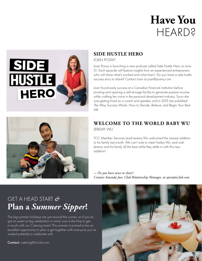# **Have You** HEARD?



# **SIDE HUSTLE HERO**

### JOAN POSIVY

Joan Posivy is launching a new podcast called Side Hustle Hero on June 21. Each episode will feature insights from an experienced entrepreneur who will share what's worked and what hasn't. Do you have a side hustle success story to share? Contact Joan at joan@posivy.com.

Joan found early success at a Canadian financial institution before pivoting and opening a self-storage facility to generate passive income while crafting her voice in the personal development industry. Soon she was getting hired as a coach and speaker, and in 2015 she published *The Way Success Works: How to Decide, Believe, and Begin Your Best Life*.



# **WELCOME TO THE WORLD BABY WU** JEREMY WU

TCC Member Services Lead Jeremy Wu welcomed the newest addition to his family last month. We can't wait to meet Hailey Wu, and wish Jeremy and his family all the best while they settle in with this new addition!

*- Do you have news to share? Contact Amanda Jun, Club Relationship Manager, at ajun@tcclub.com.*

# GET A HEAD START *&* **Plan a** *Summer Sipper***!**

The big summer holidays are just around the corner, so if you've got an event or big celebration in mind, now is the time to get in touch with our Catering team! This summer is primed to be an excellent opportunity to plan a get together with everyone you've waited patiently to celebrate with.

Contact: catering@tcclub.com.

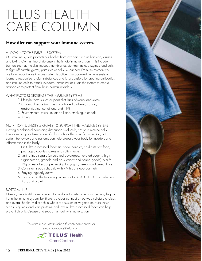# TELUS HEALTH CARE COLUMN

# **How diet can support your immune system.**

### A LOOK INTO THE IMMUNE SYSTEM

Our immune system protects our bodies from invaders such as bacteria, viruses, and toxins. Our first line of defense is the innate immune system. This include barriers such as the skin, mucous membranes, stomach acid, enzymes, and cells to fight off harmful germs, parasites or cells (ie. cancer). From the moment you are born, your innate immune system is active. Our acquired immune system learns to recognize foreign substances and is responsible for creating antibodies and immune cells to attack invaders. Immunizations train the system to create antibodies to protect from these harmful invaders

### WHAT FACTORS DECREASE THE IMMUNE SYSTEM?

- 1. Lifestyle factors such as poor diet, lack of sleep, and stress
- 2. Chronic disease (such as uncontrolled diabetes, cancer, gastrointestinal conditions, and HIV)
- 3. Environmental toxins (ie. air pollution, smoking, alcohol)
- 4. Aging

NUTRITION & LIFESTYLE GOALS TO SUPPORT THE IMMUNE SYSTEM Having a balanced nourishing diet supports all cells, not only immune cells. There are no quick fixes or specific foods that offer specific protection, but certain behaviours and patterns can help prepare your body for invaders and inflammation in the body.

- 1. Limit ultra-processed foods (ie. soda, candies, cold cuts, fast food, packaged cookies, cakes and salty snacks)
- 2. Limit refined sugars (sweetened beverages, flavored yogurts, high sugar cereals, granola and bars, candy and baked goods). Aim for 10g or less of sugar per serving for yogurt, cereals and cereal bars.
- 3. Consistent sleep schedule with 7-9 hrs of sleep per night
- 4. Staying regularly active
- 5. Foods rich in the following nutrients: vitamin A, C, E, D, zinc, selenium, iron, and protein

### BOTTOM LINE

Overall, there is still more research to be done to determine how diet may help or harm the immune system, but there is a clear connection between dietary choices and overall health. A diet rich in whole foods such as vegetables, fruits, nuts/ seeds, legumes, and lean proteins, and low in ultra-processed foods can help prevent chronic disease and support a healthy immune system.

> *To learn more, visit telushealth.com/carecentres or email: tia.young@telus.com.*



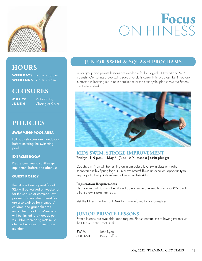

# **Focus** ON FITNESS

# **HOURS**

**WEEKDAYS** 6 a.m. - 10 p.m. **WEEKENDS** 7 a.m. - 8 p.m.

# **CLOSURES**

**MAY 23** Victoria Day

**JUNE 4** Closing at 5 p.m.

# **POLICIES**

### **SWIMMING POOL AREA**

Full body showers are mandatory before entering the swimming pool.

### **EXERCISE ROOM**

Please continue to sanitize gym equipment before and after use.

## **GUEST POLICY**

The Fitness Centre guest fee of \$25 will be waived on weekends for the spouse or common-law partner of a member. Guest fees are also waived for members' children and grandchildren under the age of 19. Members will be limited to six guests per visit. Non-member guests must always be accompanied by a member.

# **JUNIOR SWIM & SQUASH PROGRAMS**

Junior group and private lessons are available for kids aged 3+ (swim) and 6-15 (squash). Our spring group swim/squash cycle is currently in-progress, but if you are interested in learning more or in enrollment for the next cycle, please visit the Fitness Centre front desk.



## **KIDS SWIM: STROKE IMPROVEMENT Fridays, 4–5 p.m. | May 6 - June 10 (5 lessons) | \$150 plus gst**

Coach John Ryan will be running an intermediate level swim class on stroke improvement this Spring for our junior swimmers! This is an excellent opportunity to help aquatic loving kids refine and improve their skills.

#### **Registration Requirements**

Please note that kids must be 8+ and able to swim one length of a pool (25m) with a front crawl stroke, non-stop.

Visit the Fitness Centre Front Desk for more information or to register.

# **JUNIOR PRIVATE LESSONS**

Private lessons are available upon request. Please contact the following trainers via the Fitness Centre Front Desk.

SWIM John Ryan SQUASH Barry Gifford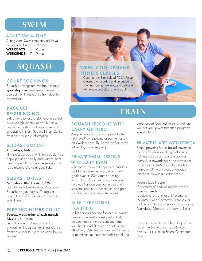# **SWIM**

## ADULT SWIM TIME

During Adult Swim time, only adults will be permitted in the pool area:

WEEKDAYS  $6 - 9$  a.m. WEEKENDS  $7 - 9$  a.m.

# **SQUASH**

# COURT BOOKINGS

Squash bookings are available through sportyhq.com. New users: please contact the Fitness Centre front desk for registration.

# **RACQUET** RE-STRINGING

Strings tend to lose tension over a period of six to eight months; and with a new restring, your shots will have more control and spring in them. See the Fitness Centre front desk for more information.

# SQUASH SOCIAL

#### **Thursdays, 4–6 p.m.**

This is a great opportunity for people who enjoy playing socially and want to meet new players. Post-game beverages and food always follows at Lions Pub.

# SQUASH DRILLS

### **Saturdays, 10–11 a.m. | \$25**

For intermediate/advanced Vancouver Squash League players. To register, contact Barry for placement prior to 8 p.m., Fridays.

# FREE BEGINNERS CLINIC

## **Second Wednesday of each month May 11, 5–6 p.m.**

Learn the basics of squash in a fun environment! Contact the Fitness Centre front desk prior to 8 p.m. on Mondays to register.



# **TRAIN**

# SQUASH LESSONS WITH BARRY GIFFORD

Are you ready to take your game to the next level? Try a private or partner lesson on Wednesdays, Thursdays, or Saturdays (other days upon request).

# PRIVATE SWIM LESSONS WITH JOHN RYAN

John Ryan has taught beginners, Masters and Triathlete-swimmers to reach their goals over his 20+ years coaching. Regardless of your skill level, John can help you improve your technique and stamina, learn new techniques, and gain confidence and ease in the water!

# MILFIT PERSONAL TRAINING

MilFit personal training focuses on private one-on-one session designed entirely on your needs to make sure you reach your health and fitness goals safely and effectively. Whether you are new to fitness or an athlete, our team of professional and experienced Certified Personal Trainers well set you up with targetted programs specific to you.

# PRIVATE PILATES WITH ZORICA

Zorica provides Pilates based movement therapy for clients seeking customized training to re-educate and empower themselves towards pain free movement patterns, as a BASI® certified Pilates Instructor with eight years of devoted intense study with master teacher's.

Personalized Programs

- Restorative/Conditioning Exercises for specific needs
- Stretching for Functional Movements
- Alignment and Corrective Exercises for mature population (osteoporosis, scoliosis) Availability, Monday to Friday, 1-4 p.m.

If you are interested in scheduling private lessons with any of our experienced trainers, visit us at the Fitness Centre front desk.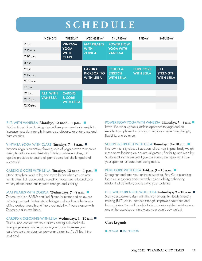# **SCHEDULE**

|              | <b>MONDAY</b>      | <b>TUESDAY</b>              | WEDNESDAY                              | <b>THURSDAY</b>                     | <b>FRIDAY</b>     | SATURDAY                             |
|--------------|--------------------|-----------------------------|----------------------------------------|-------------------------------------|-------------------|--------------------------------------|
| 7 a.m.       |                    | <b>VINYASA</b>              | <b>MAT PILATES</b>                     | <b>POWER FLOW</b>                   |                   |                                      |
| $7:15$ a.m.  |                    | <b>YOGA</b><br><b>WITH</b>  | <b>WITH</b><br><b>ZORICA</b>           | <b>YOGA WITH</b><br><b>VANESSA</b>  |                   |                                      |
| 7:30 a.m.    |                    | <b>CLARE</b>                |                                        |                                     |                   |                                      |
| 8 a.m.       |                    |                             |                                        |                                     |                   |                                      |
| 9 a.m.       |                    |                             | <b>CARDIO</b>                          | <b>SCULPT &amp;</b>                 | <b>PURE CORE</b>  | <b>F.I.T.</b>                        |
| $9:15$ a.m.  |                    |                             | <b>KICKBOXING</b><br><b>WITH LEILA</b> | <b>STRETCH</b><br><b>WITH LEILA</b> | <b>WITH LEILA</b> | <b>STRENGTH</b><br><b>WITH LEILA</b> |
| $9:30$ a.m.  |                    |                             |                                        |                                     |                   |                                      |
| $10$ a.m.    |                    |                             |                                        |                                     |                   |                                      |
| 12 p.m.      | <b>F.I.T. WITH</b> | <b>CARDIO</b>               |                                        |                                     |                   |                                      |
| $12:15$ p.m. | <b>VANESSA</b>     | & CORE<br><b>WITH LEILA</b> |                                        |                                     |                   |                                      |
| 12:30 p.m.   |                    |                             |                                        |                                     |                   |                                      |

#### F.I.T. WITH VANESSA **Mondays, 12 noon – 1 p.m.**

This functional circuit training class utilizes your own body weight to increase muscular strength, improve cardiovascular endurance and burn calories.

#### VINYASA YOGA WITH CLARE **Tuesdays, 7 – 8 a.m.**

Vinyasa Yoga is an active, flowing style of yoga proven to improve strength, balance, and flexibility. This is an all-levels class, with options provided to ensure all participants feel challenged and successful.

### CARDIO & CORE WITH LEILA **Tuesdays, 12 noon – 1 p.m.**

Stand straighter, walk taller, and move better when you commit to this class! Full-body cardio sculpting moves are followed by a variety of exercises that improve strength and stability.

#### MAT PILATES WITH ZORICA **Wednesdays, 7 – 8 a.m.**

Zorica Jovic is a BASI®-certified Pilates Instructor and an awardwinning gymnast. Pilates hits both large and small muscle groups, giving added strength and improved mobility. Private classes with Zorica are also available.

#### CARDIO KICKBOXING WITH LEILA **Wednesdays, 9 – 10 a.m.**

This fun, non-contact workout utilizes boxing skills and drills to engage every muscle group in your body. Increase your cardiovascular endurance, power and stamina. You'll feel it the next day!

### POWER FLOW YOGA WITH VANESSA **Thursdays, 7 – 8 a.m.**

Power Flow is a vigorous, athletic approach to yoga and an excellent complement to any sport. Improve muscle tone, strength, flexibility, and balance.

#### SCULPT & STRETCH WITH LEILA **Thursdays, 9 – 10 a.m.**

This low-intensity class utilizes controlled, non-impact body weight movements focusing on posture, alignment, flexibility, and mobility. Sculpt & Stretch is perfect if you are nursing an injury, tight from your sport, or just sore from being active.

#### PURE CORE WITH LEILA **Fridays, 9 – 10 a.m.**

Strengthen and tone your entire midsection. Pure Core exercises focus on improving back strength, spine stability, enhancing abdominal definition, and leaning your waistline.

#### F.I.T. WITH STRENGTH WITH LEILA **Saturdays, 9 – 10 a.m.**

Start your weekend right with this high energy full-body intensity training (F.I.T.) class. Increase strength, improve endurance and burn calories. You will be able to incorporate added resistance to any of the exercises or simply use your own body weight.

### **Class Legend:**

### **ZOOM IN-PERSON**